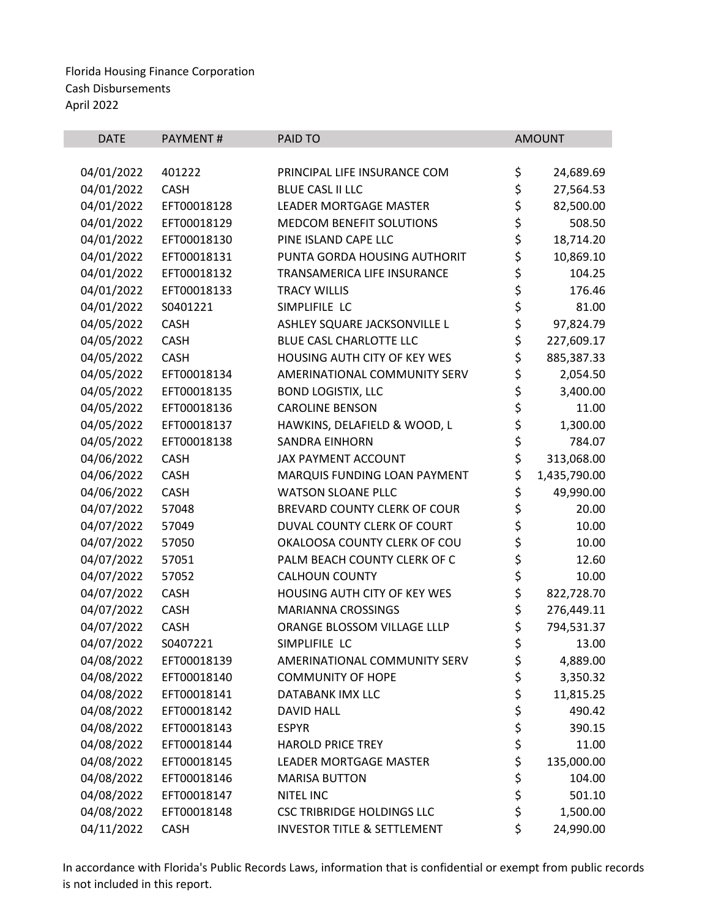| <b>DATE</b> | <b>PAYMENT#</b> | PAID TO                                | <b>AMOUNT</b>      |
|-------------|-----------------|----------------------------------------|--------------------|
|             |                 |                                        |                    |
| 04/01/2022  | 401222          | PRINCIPAL LIFE INSURANCE COM           | \$<br>24,689.69    |
| 04/01/2022  | <b>CASH</b>     | <b>BLUE CASL II LLC</b>                | \$<br>27,564.53    |
| 04/01/2022  | EFT00018128     | <b>LEADER MORTGAGE MASTER</b>          | \$<br>82,500.00    |
| 04/01/2022  | EFT00018129     | MEDCOM BENEFIT SOLUTIONS               | \$<br>508.50       |
| 04/01/2022  | EFT00018130     | PINE ISLAND CAPE LLC                   | \$<br>18,714.20    |
| 04/01/2022  | EFT00018131     | PUNTA GORDA HOUSING AUTHORIT           | \$<br>10,869.10    |
| 04/01/2022  | EFT00018132     | TRANSAMERICA LIFE INSURANCE            | \$<br>104.25       |
| 04/01/2022  | EFT00018133     | <b>TRACY WILLIS</b>                    | \$<br>176.46       |
| 04/01/2022  | S0401221        | SIMPLIFILE LC                          | \$<br>81.00        |
| 04/05/2022  | <b>CASH</b>     | ASHLEY SQUARE JACKSONVILLE L           | \$<br>97,824.79    |
| 04/05/2022  | <b>CASH</b>     | BLUE CASL CHARLOTTE LLC                | \$<br>227,609.17   |
| 04/05/2022  | <b>CASH</b>     | HOUSING AUTH CITY OF KEY WES           | \$<br>885,387.33   |
| 04/05/2022  | EFT00018134     | AMERINATIONAL COMMUNITY SERV           | \$<br>2,054.50     |
| 04/05/2022  | EFT00018135     | <b>BOND LOGISTIX, LLC</b>              | \$<br>3,400.00     |
| 04/05/2022  | EFT00018136     | <b>CAROLINE BENSON</b>                 | \$<br>11.00        |
| 04/05/2022  | EFT00018137     | HAWKINS, DELAFIELD & WOOD, L           | \$<br>1,300.00     |
| 04/05/2022  | EFT00018138     | <b>SANDRA EINHORN</b>                  | \$<br>784.07       |
| 04/06/2022  | <b>CASH</b>     | <b>JAX PAYMENT ACCOUNT</b>             | \$<br>313,068.00   |
| 04/06/2022  | <b>CASH</b>     | MARQUIS FUNDING LOAN PAYMENT           | \$<br>1,435,790.00 |
| 04/06/2022  | <b>CASH</b>     | <b>WATSON SLOANE PLLC</b>              | \$<br>49,990.00    |
| 04/07/2022  | 57048           | BREVARD COUNTY CLERK OF COUR           | \$<br>20.00        |
| 04/07/2022  | 57049           | DUVAL COUNTY CLERK OF COURT            | \$<br>10.00        |
| 04/07/2022  | 57050           | OKALOOSA COUNTY CLERK OF COU           | \$<br>10.00        |
| 04/07/2022  | 57051           | PALM BEACH COUNTY CLERK OF C           | \$<br>12.60        |
| 04/07/2022  | 57052           | <b>CALHOUN COUNTY</b>                  | \$<br>10.00        |
| 04/07/2022  | <b>CASH</b>     | HOUSING AUTH CITY OF KEY WES           | \$<br>822,728.70   |
| 04/07/2022  | <b>CASH</b>     | <b>MARIANNA CROSSINGS</b>              | \$<br>276,449.11   |
| 04/07/2022  | <b>CASH</b>     | ORANGE BLOSSOM VILLAGE LLLP            | \$<br>794,531.37   |
| 04/07/2022  | S0407221        | SIMPLIFILE LC                          | \$<br>13.00        |
| 04/08/2022  | EFT00018139     | AMERINATIONAL COMMUNITY SERV           | \$<br>4,889.00     |
| 04/08/2022  | EFT00018140     | <b>COMMUNITY OF HOPE</b>               | \$<br>3,350.32     |
| 04/08/2022  | EFT00018141     | DATABANK IMX LLC                       | \$<br>11,815.25    |
| 04/08/2022  | EFT00018142     | <b>DAVID HALL</b>                      | \$<br>490.42       |
| 04/08/2022  | EFT00018143     | <b>ESPYR</b>                           | \$<br>390.15       |
| 04/08/2022  | EFT00018144     | <b>HAROLD PRICE TREY</b>               | \$<br>11.00        |
| 04/08/2022  | EFT00018145     | <b>LEADER MORTGAGE MASTER</b>          | \$<br>135,000.00   |
| 04/08/2022  | EFT00018146     | <b>MARISA BUTTON</b>                   | \$<br>104.00       |
| 04/08/2022  | EFT00018147     | <b>NITEL INC</b>                       | \$<br>501.10       |
| 04/08/2022  | EFT00018148     | <b>CSC TRIBRIDGE HOLDINGS LLC</b>      | \$<br>1,500.00     |
| 04/11/2022  | CASH            | <b>INVESTOR TITLE &amp; SETTLEMENT</b> | \$<br>24,990.00    |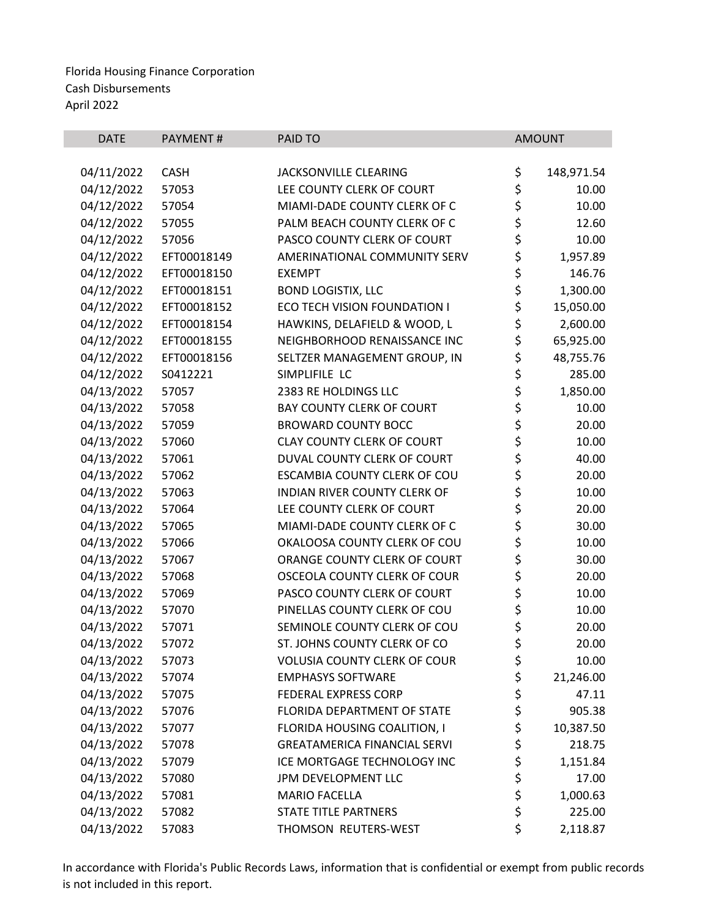| \$<br>04/11/2022<br><b>CASH</b><br>JACKSONVILLE CLEARING<br>148,971.54<br>\$<br>04/12/2022<br>57053<br>LEE COUNTY CLERK OF COURT<br>10.00<br>\$<br>04/12/2022<br>MIAMI-DADE COUNTY CLERK OF C<br>57054<br>10.00<br>\$<br>04/12/2022<br>57055<br>PALM BEACH COUNTY CLERK OF C<br>12.60<br>\$<br>\$<br>04/12/2022<br>PASCO COUNTY CLERK OF COURT<br>57056<br>10.00<br>04/12/2022<br>EFT00018149<br>AMERINATIONAL COMMUNITY SERV<br>1,957.89<br>\$<br>146.76<br>04/12/2022<br>EFT00018150<br><b>EXEMPT</b><br>\$<br>04/12/2022<br>EFT00018151<br><b>BOND LOGISTIX, LLC</b><br>1,300.00<br>\$<br>04/12/2022<br>EFT00018152<br>ECO TECH VISION FOUNDATION I<br>15,050.00<br>\$<br>04/12/2022<br>EFT00018154<br>HAWKINS, DELAFIELD & WOOD, L<br>2,600.00<br>\$<br>EFT00018155<br>NEIGHBORHOOD RENAISSANCE INC<br>65,925.00<br>04/12/2022<br>\$<br>04/12/2022<br>EFT00018156<br>48,755.76<br>SELTZER MANAGEMENT GROUP, IN<br>\$<br>\$<br>04/12/2022<br>S0412221<br>SIMPLIFILE LC<br>285.00<br>1,850.00<br>04/13/2022<br>2383 RE HOLDINGS LLC<br>57057<br>\$<br>\$<br>04/13/2022<br><b>BAY COUNTY CLERK OF COURT</b><br>57058<br>10.00<br>57059<br>04/13/2022<br><b>BROWARD COUNTY BOCC</b><br>20.00<br>\$<br>04/13/2022<br>57060<br><b>CLAY COUNTY CLERK OF COURT</b><br>10.00<br>\$<br>04/13/2022<br>DUVAL COUNTY CLERK OF COURT<br>57061<br>40.00<br>\$<br>04/13/2022<br>20.00<br>57062<br>ESCAMBIA COUNTY CLERK OF COU<br>\$<br>04/13/2022<br>57063<br>INDIAN RIVER COUNTY CLERK OF<br>10.00<br>\$<br>04/13/2022<br>57064<br>LEE COUNTY CLERK OF COURT<br>20.00<br>\$<br>04/13/2022<br>MIAMI-DADE COUNTY CLERK OF C<br>57065<br>30.00<br>\$<br>04/13/2022<br>57066<br>OKALOOSA COUNTY CLERK OF COU<br>10.00<br>\$<br>04/13/2022<br>ORANGE COUNTY CLERK OF COURT<br>30.00<br>57067<br>\$<br>04/13/2022<br>OSCEOLA COUNTY CLERK OF COUR<br>57068<br>20.00<br>\$<br>04/13/2022<br>57069<br>PASCO COUNTY CLERK OF COURT<br>10.00<br>\$<br>04/13/2022<br>57070<br>PINELLAS COUNTY CLERK OF COU<br>10.00<br>\$<br>04/13/2022<br>57071<br>SEMINOLE COUNTY CLERK OF COU<br>20.00<br>\$<br>04/13/2022<br>57072<br>ST. JOHNS COUNTY CLERK OF CO<br>20.00<br>04/13/2022<br><b>VOLUSIA COUNTY CLERK OF COUR</b><br>57073<br>\$<br>10.00<br>\$<br>04/13/2022<br>21,246.00<br>57074<br><b>EMPHASYS SOFTWARE</b><br>\$<br>04/13/2022<br>57075<br><b>FEDERAL EXPRESS CORP</b><br>47.11<br>\$<br>04/13/2022<br>57076<br>FLORIDA DEPARTMENT OF STATE<br>905.38<br>\$<br>04/13/2022<br>57077<br>FLORIDA HOUSING COALITION, I<br>10,387.50<br>\$<br>04/13/2022<br>57078<br><b>GREATAMERICA FINANCIAL SERVI</b><br>218.75<br>\$<br>\$<br>04/13/2022<br>ICE MORTGAGE TECHNOLOGY INC<br>57079<br>1,151.84<br>04/13/2022<br>57080<br>JPM DEVELOPMENT LLC<br>17.00<br>\$<br>04/13/2022<br>57081<br><b>MARIO FACELLA</b><br>1,000.63 | <b>DATE</b> | PAYMENT# | PAID TO                     | <b>AMOUNT</b> |
|--------------------------------------------------------------------------------------------------------------------------------------------------------------------------------------------------------------------------------------------------------------------------------------------------------------------------------------------------------------------------------------------------------------------------------------------------------------------------------------------------------------------------------------------------------------------------------------------------------------------------------------------------------------------------------------------------------------------------------------------------------------------------------------------------------------------------------------------------------------------------------------------------------------------------------------------------------------------------------------------------------------------------------------------------------------------------------------------------------------------------------------------------------------------------------------------------------------------------------------------------------------------------------------------------------------------------------------------------------------------------------------------------------------------------------------------------------------------------------------------------------------------------------------------------------------------------------------------------------------------------------------------------------------------------------------------------------------------------------------------------------------------------------------------------------------------------------------------------------------------------------------------------------------------------------------------------------------------------------------------------------------------------------------------------------------------------------------------------------------------------------------------------------------------------------------------------------------------------------------------------------------------------------------------------------------------------------------------------------------------------------------------------------------------------------------------------------------------------------------------------------------------------------------------------------------------------------------------------------------------------------------------------------------------------------------------------------------------------------------------------------------------------------------------------------|-------------|----------|-----------------------------|---------------|
|                                                                                                                                                                                                                                                                                                                                                                                                                                                                                                                                                                                                                                                                                                                                                                                                                                                                                                                                                                                                                                                                                                                                                                                                                                                                                                                                                                                                                                                                                                                                                                                                                                                                                                                                                                                                                                                                                                                                                                                                                                                                                                                                                                                                                                                                                                                                                                                                                                                                                                                                                                                                                                                                                                                                                                                                        |             |          |                             |               |
|                                                                                                                                                                                                                                                                                                                                                                                                                                                                                                                                                                                                                                                                                                                                                                                                                                                                                                                                                                                                                                                                                                                                                                                                                                                                                                                                                                                                                                                                                                                                                                                                                                                                                                                                                                                                                                                                                                                                                                                                                                                                                                                                                                                                                                                                                                                                                                                                                                                                                                                                                                                                                                                                                                                                                                                                        |             |          |                             |               |
|                                                                                                                                                                                                                                                                                                                                                                                                                                                                                                                                                                                                                                                                                                                                                                                                                                                                                                                                                                                                                                                                                                                                                                                                                                                                                                                                                                                                                                                                                                                                                                                                                                                                                                                                                                                                                                                                                                                                                                                                                                                                                                                                                                                                                                                                                                                                                                                                                                                                                                                                                                                                                                                                                                                                                                                                        |             |          |                             |               |
|                                                                                                                                                                                                                                                                                                                                                                                                                                                                                                                                                                                                                                                                                                                                                                                                                                                                                                                                                                                                                                                                                                                                                                                                                                                                                                                                                                                                                                                                                                                                                                                                                                                                                                                                                                                                                                                                                                                                                                                                                                                                                                                                                                                                                                                                                                                                                                                                                                                                                                                                                                                                                                                                                                                                                                                                        |             |          |                             |               |
|                                                                                                                                                                                                                                                                                                                                                                                                                                                                                                                                                                                                                                                                                                                                                                                                                                                                                                                                                                                                                                                                                                                                                                                                                                                                                                                                                                                                                                                                                                                                                                                                                                                                                                                                                                                                                                                                                                                                                                                                                                                                                                                                                                                                                                                                                                                                                                                                                                                                                                                                                                                                                                                                                                                                                                                                        |             |          |                             |               |
|                                                                                                                                                                                                                                                                                                                                                                                                                                                                                                                                                                                                                                                                                                                                                                                                                                                                                                                                                                                                                                                                                                                                                                                                                                                                                                                                                                                                                                                                                                                                                                                                                                                                                                                                                                                                                                                                                                                                                                                                                                                                                                                                                                                                                                                                                                                                                                                                                                                                                                                                                                                                                                                                                                                                                                                                        |             |          |                             |               |
|                                                                                                                                                                                                                                                                                                                                                                                                                                                                                                                                                                                                                                                                                                                                                                                                                                                                                                                                                                                                                                                                                                                                                                                                                                                                                                                                                                                                                                                                                                                                                                                                                                                                                                                                                                                                                                                                                                                                                                                                                                                                                                                                                                                                                                                                                                                                                                                                                                                                                                                                                                                                                                                                                                                                                                                                        |             |          |                             |               |
|                                                                                                                                                                                                                                                                                                                                                                                                                                                                                                                                                                                                                                                                                                                                                                                                                                                                                                                                                                                                                                                                                                                                                                                                                                                                                                                                                                                                                                                                                                                                                                                                                                                                                                                                                                                                                                                                                                                                                                                                                                                                                                                                                                                                                                                                                                                                                                                                                                                                                                                                                                                                                                                                                                                                                                                                        |             |          |                             |               |
|                                                                                                                                                                                                                                                                                                                                                                                                                                                                                                                                                                                                                                                                                                                                                                                                                                                                                                                                                                                                                                                                                                                                                                                                                                                                                                                                                                                                                                                                                                                                                                                                                                                                                                                                                                                                                                                                                                                                                                                                                                                                                                                                                                                                                                                                                                                                                                                                                                                                                                                                                                                                                                                                                                                                                                                                        |             |          |                             |               |
|                                                                                                                                                                                                                                                                                                                                                                                                                                                                                                                                                                                                                                                                                                                                                                                                                                                                                                                                                                                                                                                                                                                                                                                                                                                                                                                                                                                                                                                                                                                                                                                                                                                                                                                                                                                                                                                                                                                                                                                                                                                                                                                                                                                                                                                                                                                                                                                                                                                                                                                                                                                                                                                                                                                                                                                                        |             |          |                             |               |
|                                                                                                                                                                                                                                                                                                                                                                                                                                                                                                                                                                                                                                                                                                                                                                                                                                                                                                                                                                                                                                                                                                                                                                                                                                                                                                                                                                                                                                                                                                                                                                                                                                                                                                                                                                                                                                                                                                                                                                                                                                                                                                                                                                                                                                                                                                                                                                                                                                                                                                                                                                                                                                                                                                                                                                                                        |             |          |                             |               |
|                                                                                                                                                                                                                                                                                                                                                                                                                                                                                                                                                                                                                                                                                                                                                                                                                                                                                                                                                                                                                                                                                                                                                                                                                                                                                                                                                                                                                                                                                                                                                                                                                                                                                                                                                                                                                                                                                                                                                                                                                                                                                                                                                                                                                                                                                                                                                                                                                                                                                                                                                                                                                                                                                                                                                                                                        |             |          |                             |               |
|                                                                                                                                                                                                                                                                                                                                                                                                                                                                                                                                                                                                                                                                                                                                                                                                                                                                                                                                                                                                                                                                                                                                                                                                                                                                                                                                                                                                                                                                                                                                                                                                                                                                                                                                                                                                                                                                                                                                                                                                                                                                                                                                                                                                                                                                                                                                                                                                                                                                                                                                                                                                                                                                                                                                                                                                        |             |          |                             |               |
|                                                                                                                                                                                                                                                                                                                                                                                                                                                                                                                                                                                                                                                                                                                                                                                                                                                                                                                                                                                                                                                                                                                                                                                                                                                                                                                                                                                                                                                                                                                                                                                                                                                                                                                                                                                                                                                                                                                                                                                                                                                                                                                                                                                                                                                                                                                                                                                                                                                                                                                                                                                                                                                                                                                                                                                                        |             |          |                             |               |
|                                                                                                                                                                                                                                                                                                                                                                                                                                                                                                                                                                                                                                                                                                                                                                                                                                                                                                                                                                                                                                                                                                                                                                                                                                                                                                                                                                                                                                                                                                                                                                                                                                                                                                                                                                                                                                                                                                                                                                                                                                                                                                                                                                                                                                                                                                                                                                                                                                                                                                                                                                                                                                                                                                                                                                                                        |             |          |                             |               |
|                                                                                                                                                                                                                                                                                                                                                                                                                                                                                                                                                                                                                                                                                                                                                                                                                                                                                                                                                                                                                                                                                                                                                                                                                                                                                                                                                                                                                                                                                                                                                                                                                                                                                                                                                                                                                                                                                                                                                                                                                                                                                                                                                                                                                                                                                                                                                                                                                                                                                                                                                                                                                                                                                                                                                                                                        |             |          |                             |               |
|                                                                                                                                                                                                                                                                                                                                                                                                                                                                                                                                                                                                                                                                                                                                                                                                                                                                                                                                                                                                                                                                                                                                                                                                                                                                                                                                                                                                                                                                                                                                                                                                                                                                                                                                                                                                                                                                                                                                                                                                                                                                                                                                                                                                                                                                                                                                                                                                                                                                                                                                                                                                                                                                                                                                                                                                        |             |          |                             |               |
|                                                                                                                                                                                                                                                                                                                                                                                                                                                                                                                                                                                                                                                                                                                                                                                                                                                                                                                                                                                                                                                                                                                                                                                                                                                                                                                                                                                                                                                                                                                                                                                                                                                                                                                                                                                                                                                                                                                                                                                                                                                                                                                                                                                                                                                                                                                                                                                                                                                                                                                                                                                                                                                                                                                                                                                                        |             |          |                             |               |
|                                                                                                                                                                                                                                                                                                                                                                                                                                                                                                                                                                                                                                                                                                                                                                                                                                                                                                                                                                                                                                                                                                                                                                                                                                                                                                                                                                                                                                                                                                                                                                                                                                                                                                                                                                                                                                                                                                                                                                                                                                                                                                                                                                                                                                                                                                                                                                                                                                                                                                                                                                                                                                                                                                                                                                                                        |             |          |                             |               |
|                                                                                                                                                                                                                                                                                                                                                                                                                                                                                                                                                                                                                                                                                                                                                                                                                                                                                                                                                                                                                                                                                                                                                                                                                                                                                                                                                                                                                                                                                                                                                                                                                                                                                                                                                                                                                                                                                                                                                                                                                                                                                                                                                                                                                                                                                                                                                                                                                                                                                                                                                                                                                                                                                                                                                                                                        |             |          |                             |               |
|                                                                                                                                                                                                                                                                                                                                                                                                                                                                                                                                                                                                                                                                                                                                                                                                                                                                                                                                                                                                                                                                                                                                                                                                                                                                                                                                                                                                                                                                                                                                                                                                                                                                                                                                                                                                                                                                                                                                                                                                                                                                                                                                                                                                                                                                                                                                                                                                                                                                                                                                                                                                                                                                                                                                                                                                        |             |          |                             |               |
|                                                                                                                                                                                                                                                                                                                                                                                                                                                                                                                                                                                                                                                                                                                                                                                                                                                                                                                                                                                                                                                                                                                                                                                                                                                                                                                                                                                                                                                                                                                                                                                                                                                                                                                                                                                                                                                                                                                                                                                                                                                                                                                                                                                                                                                                                                                                                                                                                                                                                                                                                                                                                                                                                                                                                                                                        |             |          |                             |               |
|                                                                                                                                                                                                                                                                                                                                                                                                                                                                                                                                                                                                                                                                                                                                                                                                                                                                                                                                                                                                                                                                                                                                                                                                                                                                                                                                                                                                                                                                                                                                                                                                                                                                                                                                                                                                                                                                                                                                                                                                                                                                                                                                                                                                                                                                                                                                                                                                                                                                                                                                                                                                                                                                                                                                                                                                        |             |          |                             |               |
|                                                                                                                                                                                                                                                                                                                                                                                                                                                                                                                                                                                                                                                                                                                                                                                                                                                                                                                                                                                                                                                                                                                                                                                                                                                                                                                                                                                                                                                                                                                                                                                                                                                                                                                                                                                                                                                                                                                                                                                                                                                                                                                                                                                                                                                                                                                                                                                                                                                                                                                                                                                                                                                                                                                                                                                                        |             |          |                             |               |
|                                                                                                                                                                                                                                                                                                                                                                                                                                                                                                                                                                                                                                                                                                                                                                                                                                                                                                                                                                                                                                                                                                                                                                                                                                                                                                                                                                                                                                                                                                                                                                                                                                                                                                                                                                                                                                                                                                                                                                                                                                                                                                                                                                                                                                                                                                                                                                                                                                                                                                                                                                                                                                                                                                                                                                                                        |             |          |                             |               |
|                                                                                                                                                                                                                                                                                                                                                                                                                                                                                                                                                                                                                                                                                                                                                                                                                                                                                                                                                                                                                                                                                                                                                                                                                                                                                                                                                                                                                                                                                                                                                                                                                                                                                                                                                                                                                                                                                                                                                                                                                                                                                                                                                                                                                                                                                                                                                                                                                                                                                                                                                                                                                                                                                                                                                                                                        |             |          |                             |               |
|                                                                                                                                                                                                                                                                                                                                                                                                                                                                                                                                                                                                                                                                                                                                                                                                                                                                                                                                                                                                                                                                                                                                                                                                                                                                                                                                                                                                                                                                                                                                                                                                                                                                                                                                                                                                                                                                                                                                                                                                                                                                                                                                                                                                                                                                                                                                                                                                                                                                                                                                                                                                                                                                                                                                                                                                        |             |          |                             |               |
|                                                                                                                                                                                                                                                                                                                                                                                                                                                                                                                                                                                                                                                                                                                                                                                                                                                                                                                                                                                                                                                                                                                                                                                                                                                                                                                                                                                                                                                                                                                                                                                                                                                                                                                                                                                                                                                                                                                                                                                                                                                                                                                                                                                                                                                                                                                                                                                                                                                                                                                                                                                                                                                                                                                                                                                                        |             |          |                             |               |
|                                                                                                                                                                                                                                                                                                                                                                                                                                                                                                                                                                                                                                                                                                                                                                                                                                                                                                                                                                                                                                                                                                                                                                                                                                                                                                                                                                                                                                                                                                                                                                                                                                                                                                                                                                                                                                                                                                                                                                                                                                                                                                                                                                                                                                                                                                                                                                                                                                                                                                                                                                                                                                                                                                                                                                                                        |             |          |                             |               |
|                                                                                                                                                                                                                                                                                                                                                                                                                                                                                                                                                                                                                                                                                                                                                                                                                                                                                                                                                                                                                                                                                                                                                                                                                                                                                                                                                                                                                                                                                                                                                                                                                                                                                                                                                                                                                                                                                                                                                                                                                                                                                                                                                                                                                                                                                                                                                                                                                                                                                                                                                                                                                                                                                                                                                                                                        |             |          |                             |               |
|                                                                                                                                                                                                                                                                                                                                                                                                                                                                                                                                                                                                                                                                                                                                                                                                                                                                                                                                                                                                                                                                                                                                                                                                                                                                                                                                                                                                                                                                                                                                                                                                                                                                                                                                                                                                                                                                                                                                                                                                                                                                                                                                                                                                                                                                                                                                                                                                                                                                                                                                                                                                                                                                                                                                                                                                        |             |          |                             |               |
|                                                                                                                                                                                                                                                                                                                                                                                                                                                                                                                                                                                                                                                                                                                                                                                                                                                                                                                                                                                                                                                                                                                                                                                                                                                                                                                                                                                                                                                                                                                                                                                                                                                                                                                                                                                                                                                                                                                                                                                                                                                                                                                                                                                                                                                                                                                                                                                                                                                                                                                                                                                                                                                                                                                                                                                                        |             |          |                             |               |
|                                                                                                                                                                                                                                                                                                                                                                                                                                                                                                                                                                                                                                                                                                                                                                                                                                                                                                                                                                                                                                                                                                                                                                                                                                                                                                                                                                                                                                                                                                                                                                                                                                                                                                                                                                                                                                                                                                                                                                                                                                                                                                                                                                                                                                                                                                                                                                                                                                                                                                                                                                                                                                                                                                                                                                                                        |             |          |                             |               |
|                                                                                                                                                                                                                                                                                                                                                                                                                                                                                                                                                                                                                                                                                                                                                                                                                                                                                                                                                                                                                                                                                                                                                                                                                                                                                                                                                                                                                                                                                                                                                                                                                                                                                                                                                                                                                                                                                                                                                                                                                                                                                                                                                                                                                                                                                                                                                                                                                                                                                                                                                                                                                                                                                                                                                                                                        |             |          |                             |               |
|                                                                                                                                                                                                                                                                                                                                                                                                                                                                                                                                                                                                                                                                                                                                                                                                                                                                                                                                                                                                                                                                                                                                                                                                                                                                                                                                                                                                                                                                                                                                                                                                                                                                                                                                                                                                                                                                                                                                                                                                                                                                                                                                                                                                                                                                                                                                                                                                                                                                                                                                                                                                                                                                                                                                                                                                        |             |          |                             |               |
|                                                                                                                                                                                                                                                                                                                                                                                                                                                                                                                                                                                                                                                                                                                                                                                                                                                                                                                                                                                                                                                                                                                                                                                                                                                                                                                                                                                                                                                                                                                                                                                                                                                                                                                                                                                                                                                                                                                                                                                                                                                                                                                                                                                                                                                                                                                                                                                                                                                                                                                                                                                                                                                                                                                                                                                                        |             |          |                             |               |
|                                                                                                                                                                                                                                                                                                                                                                                                                                                                                                                                                                                                                                                                                                                                                                                                                                                                                                                                                                                                                                                                                                                                                                                                                                                                                                                                                                                                                                                                                                                                                                                                                                                                                                                                                                                                                                                                                                                                                                                                                                                                                                                                                                                                                                                                                                                                                                                                                                                                                                                                                                                                                                                                                                                                                                                                        |             |          |                             |               |
|                                                                                                                                                                                                                                                                                                                                                                                                                                                                                                                                                                                                                                                                                                                                                                                                                                                                                                                                                                                                                                                                                                                                                                                                                                                                                                                                                                                                                                                                                                                                                                                                                                                                                                                                                                                                                                                                                                                                                                                                                                                                                                                                                                                                                                                                                                                                                                                                                                                                                                                                                                                                                                                                                                                                                                                                        |             |          |                             |               |
|                                                                                                                                                                                                                                                                                                                                                                                                                                                                                                                                                                                                                                                                                                                                                                                                                                                                                                                                                                                                                                                                                                                                                                                                                                                                                                                                                                                                                                                                                                                                                                                                                                                                                                                                                                                                                                                                                                                                                                                                                                                                                                                                                                                                                                                                                                                                                                                                                                                                                                                                                                                                                                                                                                                                                                                                        |             |          |                             |               |
|                                                                                                                                                                                                                                                                                                                                                                                                                                                                                                                                                                                                                                                                                                                                                                                                                                                                                                                                                                                                                                                                                                                                                                                                                                                                                                                                                                                                                                                                                                                                                                                                                                                                                                                                                                                                                                                                                                                                                                                                                                                                                                                                                                                                                                                                                                                                                                                                                                                                                                                                                                                                                                                                                                                                                                                                        | 04/13/2022  | 57082    | <b>STATE TITLE PARTNERS</b> | \$<br>225.00  |
| \$<br>04/13/2022<br>57083<br>THOMSON REUTERS-WEST<br>2,118.87                                                                                                                                                                                                                                                                                                                                                                                                                                                                                                                                                                                                                                                                                                                                                                                                                                                                                                                                                                                                                                                                                                                                                                                                                                                                                                                                                                                                                                                                                                                                                                                                                                                                                                                                                                                                                                                                                                                                                                                                                                                                                                                                                                                                                                                                                                                                                                                                                                                                                                                                                                                                                                                                                                                                          |             |          |                             |               |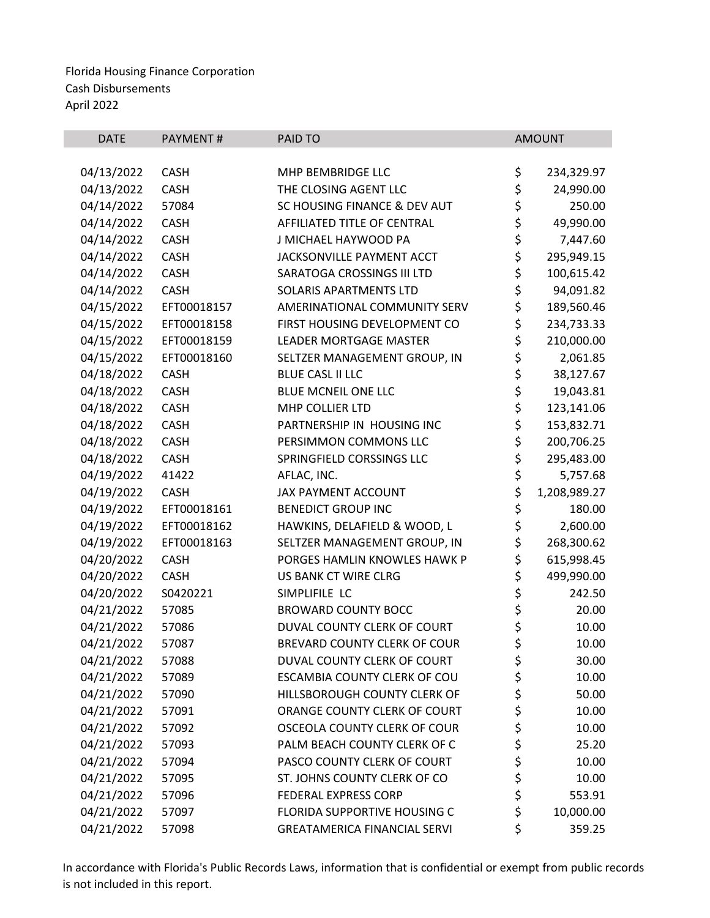| <b>DATE</b> | PAYMENT#    | PAID TO                             |          | <b>AMOUNT</b> |
|-------------|-------------|-------------------------------------|----------|---------------|
|             |             |                                     |          |               |
| 04/13/2022  | <b>CASH</b> | MHP BEMBRIDGE LLC                   | \$       | 234,329.97    |
| 04/13/2022  | <b>CASH</b> | THE CLOSING AGENT LLC               | \$       | 24,990.00     |
| 04/14/2022  | 57084       | SC HOUSING FINANCE & DEV AUT        | \$       | 250.00        |
| 04/14/2022  | <b>CASH</b> | AFFILIATED TITLE OF CENTRAL         | \$       | 49,990.00     |
| 04/14/2022  | <b>CASH</b> | J MICHAEL HAYWOOD PA                | \$<br>\$ | 7,447.60      |
| 04/14/2022  | <b>CASH</b> | <b>JACKSONVILLE PAYMENT ACCT</b>    |          | 295,949.15    |
| 04/14/2022  | <b>CASH</b> | SARATOGA CROSSINGS III LTD          | \$       | 100,615.42    |
| 04/14/2022  | <b>CASH</b> | <b>SOLARIS APARTMENTS LTD</b>       | \$       | 94,091.82     |
| 04/15/2022  | EFT00018157 | AMERINATIONAL COMMUNITY SERV        | \$       | 189,560.46    |
| 04/15/2022  | EFT00018158 | FIRST HOUSING DEVELOPMENT CO        | \$       | 234,733.33    |
| 04/15/2022  | EFT00018159 | <b>LEADER MORTGAGE MASTER</b>       | \$       | 210,000.00    |
| 04/15/2022  | EFT00018160 | SELTZER MANAGEMENT GROUP, IN        | \$       | 2,061.85      |
| 04/18/2022  | <b>CASH</b> | <b>BLUE CASL II LLC</b>             | \$       | 38,127.67     |
| 04/18/2022  | <b>CASH</b> | <b>BLUE MCNEIL ONE LLC</b>          | \$       | 19,043.81     |
| 04/18/2022  | <b>CASH</b> | MHP COLLIER LTD                     |          | 123,141.06    |
| 04/18/2022  | <b>CASH</b> | PARTNERSHIP IN HOUSING INC          | \$<br>\$ | 153,832.71    |
| 04/18/2022  | <b>CASH</b> | PERSIMMON COMMONS LLC               | \$       | 200,706.25    |
| 04/18/2022  | <b>CASH</b> | SPRINGFIELD CORSSINGS LLC           | \$       | 295,483.00    |
| 04/19/2022  | 41422       | AFLAC, INC.                         | \$       | 5,757.68      |
| 04/19/2022  | <b>CASH</b> | JAX PAYMENT ACCOUNT                 | \$       | 1,208,989.27  |
| 04/19/2022  | EFT00018161 | <b>BENEDICT GROUP INC</b>           | \$       | 180.00        |
| 04/19/2022  | EFT00018162 | HAWKINS, DELAFIELD & WOOD, L        | \$       | 2,600.00      |
| 04/19/2022  | EFT00018163 | SELTZER MANAGEMENT GROUP, IN        | \$       | 268,300.62    |
| 04/20/2022  | <b>CASH</b> | PORGES HAMLIN KNOWLES HAWK P        | \$       | 615,998.45    |
| 04/20/2022  | <b>CASH</b> | US BANK CT WIRE CLRG                | \$       | 499,990.00    |
| 04/20/2022  | S0420221    | SIMPLIFILE LC                       | \$       | 242.50        |
| 04/21/2022  | 57085       | <b>BROWARD COUNTY BOCC</b>          | \$       | 20.00         |
| 04/21/2022  | 57086       | DUVAL COUNTY CLERK OF COURT         | \$       | 10.00         |
| 04/21/2022  | 57087       | BREVARD COUNTY CLERK OF COUR        | \$       | 10.00         |
| 04/21/2022  | 57088       | DUVAL COUNTY CLERK OF COURT         | \$       | 30.00         |
| 04/21/2022  | 57089       | ESCAMBIA COUNTY CLERK OF COU        | \$       | 10.00         |
| 04/21/2022  | 57090       | HILLSBOROUGH COUNTY CLERK OF        | \$       | 50.00         |
| 04/21/2022  | 57091       | ORANGE COUNTY CLERK OF COURT        | \$       | 10.00         |
| 04/21/2022  | 57092       | OSCEOLA COUNTY CLERK OF COUR        | \$       | 10.00         |
| 04/21/2022  | 57093       | PALM BEACH COUNTY CLERK OF C        |          | 25.20         |
| 04/21/2022  | 57094       | PASCO COUNTY CLERK OF COURT         |          | 10.00         |
| 04/21/2022  | 57095       | ST. JOHNS COUNTY CLERK OF CO        | ささ       | 10.00         |
| 04/21/2022  | 57096       | <b>FEDERAL EXPRESS CORP</b>         | \$       | 553.91        |
| 04/21/2022  | 57097       | FLORIDA SUPPORTIVE HOUSING C        | \$       | 10,000.00     |
| 04/21/2022  | 57098       | <b>GREATAMERICA FINANCIAL SERVI</b> | \$       | 359.25        |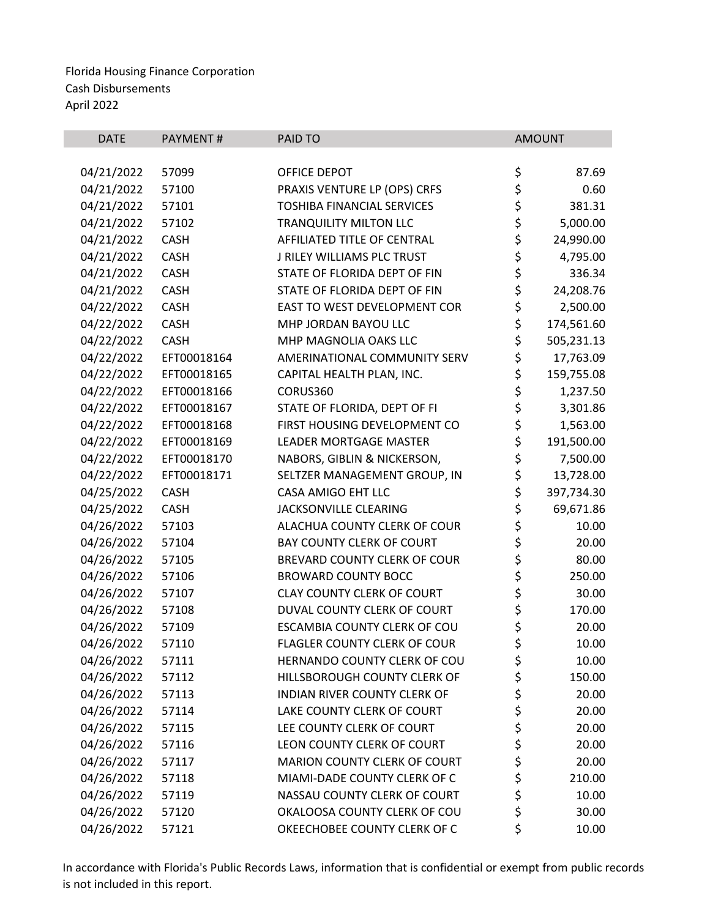| <b>DATE</b> | <b>PAYMENT#</b> | PAID TO                             |          | <b>AMOUNT</b> |
|-------------|-----------------|-------------------------------------|----------|---------------|
|             |                 |                                     |          |               |
| 04/21/2022  | 57099           | <b>OFFICE DEPOT</b>                 | \$       | 87.69         |
| 04/21/2022  | 57100           | PRAXIS VENTURE LP (OPS) CRFS        | \$       | 0.60          |
| 04/21/2022  | 57101           | <b>TOSHIBA FINANCIAL SERVICES</b>   | \$       | 381.31        |
| 04/21/2022  | 57102           | <b>TRANQUILITY MILTON LLC</b>       | \$       | 5,000.00      |
| 04/21/2022  | <b>CASH</b>     | AFFILIATED TITLE OF CENTRAL         | \$       | 24,990.00     |
| 04/21/2022  | <b>CASH</b>     | J RILEY WILLIAMS PLC TRUST          | \$       | 4,795.00      |
| 04/21/2022  | <b>CASH</b>     | STATE OF FLORIDA DEPT OF FIN        | \$       | 336.34        |
| 04/21/2022  | <b>CASH</b>     | STATE OF FLORIDA DEPT OF FIN        | \$       | 24,208.76     |
| 04/22/2022  | <b>CASH</b>     | EAST TO WEST DEVELOPMENT COR        | \$       | 2,500.00      |
| 04/22/2022  | <b>CASH</b>     | MHP JORDAN BAYOU LLC                | \$       | 174,561.60    |
| 04/22/2022  | <b>CASH</b>     | MHP MAGNOLIA OAKS LLC               | \$       | 505,231.13    |
| 04/22/2022  | EFT00018164     | AMERINATIONAL COMMUNITY SERV        | \$       | 17,763.09     |
| 04/22/2022  | EFT00018165     | CAPITAL HEALTH PLAN, INC.           | \$       | 159,755.08    |
| 04/22/2022  | EFT00018166     | CORUS360                            | \$       | 1,237.50      |
| 04/22/2022  | EFT00018167     | STATE OF FLORIDA, DEPT OF FI        | \$       | 3,301.86      |
| 04/22/2022  | EFT00018168     | FIRST HOUSING DEVELOPMENT CO        | \$       | 1,563.00      |
| 04/22/2022  | EFT00018169     | <b>LEADER MORTGAGE MASTER</b>       | \$       | 191,500.00    |
| 04/22/2022  | EFT00018170     | NABORS, GIBLIN & NICKERSON,         | \$       | 7,500.00      |
| 04/22/2022  | EFT00018171     | SELTZER MANAGEMENT GROUP, IN        | \$       | 13,728.00     |
| 04/25/2022  | <b>CASH</b>     | CASA AMIGO EHT LLC                  | \$       | 397,734.30    |
| 04/25/2022  | <b>CASH</b>     | JACKSONVILLE CLEARING               | \$       | 69,671.86     |
| 04/26/2022  | 57103           | ALACHUA COUNTY CLERK OF COUR        | \$       | 10.00         |
| 04/26/2022  | 57104           | BAY COUNTY CLERK OF COURT           | \$       | 20.00         |
| 04/26/2022  | 57105           | BREVARD COUNTY CLERK OF COUR        | \$       | 80.00         |
| 04/26/2022  | 57106           | <b>BROWARD COUNTY BOCC</b>          | \$       | 250.00        |
| 04/26/2022  | 57107           | <b>CLAY COUNTY CLERK OF COURT</b>   | \$       | 30.00         |
| 04/26/2022  | 57108           | DUVAL COUNTY CLERK OF COURT         | \$       | 170.00        |
| 04/26/2022  | 57109           | ESCAMBIA COUNTY CLERK OF COU        | \$       | 20.00         |
| 04/26/2022  | 57110           | <b>FLAGLER COUNTY CLERK OF COUR</b> | \$       | 10.00         |
| 04/26/2022  | 57111           | HERNANDO COUNTY CLERK OF COU        | \$       | 10.00         |
| 04/26/2022  | 57112           | HILLSBOROUGH COUNTY CLERK OF        | \$       | 150.00        |
| 04/26/2022  | 57113           | <b>INDIAN RIVER COUNTY CLERK OF</b> | \$       | 20.00         |
| 04/26/2022  | 57114           | LAKE COUNTY CLERK OF COURT          | \$       | 20.00         |
| 04/26/2022  | 57115           | LEE COUNTY CLERK OF COURT           |          | 20.00         |
| 04/26/2022  | 57116           | LEON COUNTY CLERK OF COURT          | \$<br>\$ | 20.00         |
| 04/26/2022  | 57117           | MARION COUNTY CLERK OF COURT        | \$       | 20.00         |
| 04/26/2022  | 57118           | MIAMI-DADE COUNTY CLERK OF C        | \$       | 210.00        |
| 04/26/2022  | 57119           | NASSAU COUNTY CLERK OF COURT        | \$       | 10.00         |
| 04/26/2022  | 57120           | OKALOOSA COUNTY CLERK OF COU        | \$       | 30.00         |
| 04/26/2022  | 57121           | OKEECHOBEE COUNTY CLERK OF C        | \$       | 10.00         |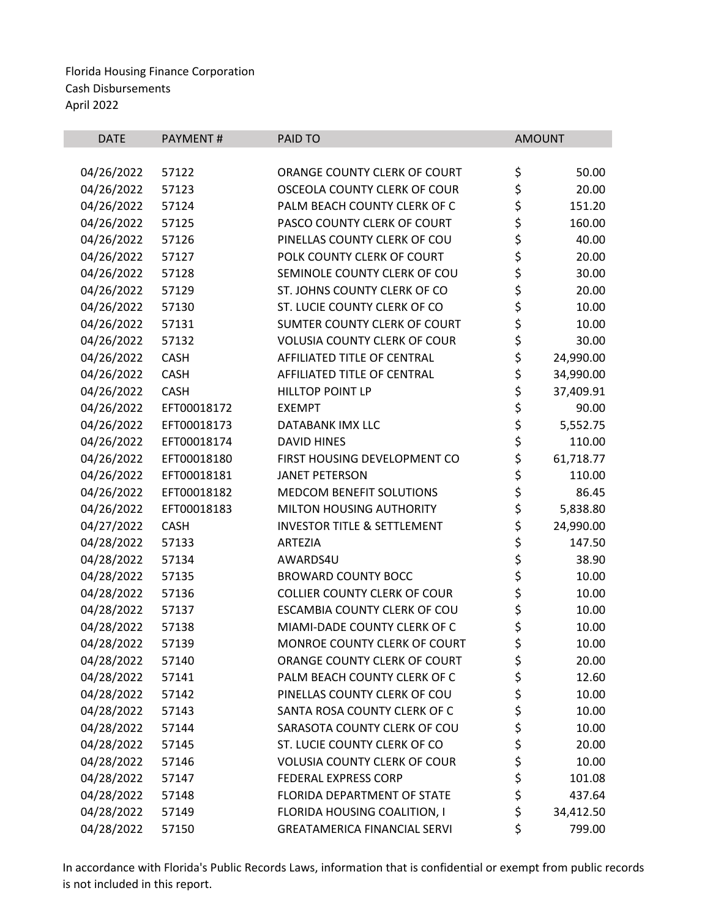| <b>DATE</b> | <b>PAYMENT#</b> | PAID TO                                | <b>AMOUNT</b>   |
|-------------|-----------------|----------------------------------------|-----------------|
|             |                 |                                        |                 |
| 04/26/2022  | 57122           | ORANGE COUNTY CLERK OF COURT           | \$<br>50.00     |
| 04/26/2022  | 57123           | OSCEOLA COUNTY CLERK OF COUR           | \$<br>20.00     |
| 04/26/2022  | 57124           | PALM BEACH COUNTY CLERK OF C           | \$<br>151.20    |
| 04/26/2022  | 57125           | PASCO COUNTY CLERK OF COURT            | \$<br>160.00    |
| 04/26/2022  | 57126           | PINELLAS COUNTY CLERK OF COU           | \$<br>40.00     |
| 04/26/2022  | 57127           | POLK COUNTY CLERK OF COURT             | \$<br>20.00     |
| 04/26/2022  | 57128           | SEMINOLE COUNTY CLERK OF COU           | \$<br>30.00     |
| 04/26/2022  | 57129           | ST. JOHNS COUNTY CLERK OF CO           | \$<br>20.00     |
| 04/26/2022  | 57130           | ST. LUCIE COUNTY CLERK OF CO           | \$<br>10.00     |
| 04/26/2022  | 57131           | SUMTER COUNTY CLERK OF COURT           | \$<br>10.00     |
| 04/26/2022  | 57132           | <b>VOLUSIA COUNTY CLERK OF COUR</b>    | \$<br>30.00     |
| 04/26/2022  | <b>CASH</b>     | AFFILIATED TITLE OF CENTRAL            | \$<br>24,990.00 |
| 04/26/2022  | <b>CASH</b>     | AFFILIATED TITLE OF CENTRAL            | \$<br>34,990.00 |
| 04/26/2022  | <b>CASH</b>     | <b>HILLTOP POINT LP</b>                | \$<br>37,409.91 |
| 04/26/2022  | EFT00018172     | <b>EXEMPT</b>                          | \$<br>90.00     |
| 04/26/2022  | EFT00018173     | DATABANK IMX LLC                       | \$<br>5,552.75  |
| 04/26/2022  | EFT00018174     | <b>DAVID HINES</b>                     | \$<br>110.00    |
| 04/26/2022  | EFT00018180     | FIRST HOUSING DEVELOPMENT CO           | \$<br>61,718.77 |
| 04/26/2022  | EFT00018181     | <b>JANET PETERSON</b>                  | \$<br>110.00    |
| 04/26/2022  | EFT00018182     | MEDCOM BENEFIT SOLUTIONS               | \$<br>86.45     |
| 04/26/2022  | EFT00018183     | MILTON HOUSING AUTHORITY               | \$<br>5,838.80  |
| 04/27/2022  | <b>CASH</b>     | <b>INVESTOR TITLE &amp; SETTLEMENT</b> | \$<br>24,990.00 |
| 04/28/2022  | 57133           | <b>ARTEZIA</b>                         | \$<br>147.50    |
| 04/28/2022  | 57134           | AWARDS4U                               | \$<br>38.90     |
| 04/28/2022  | 57135           | <b>BROWARD COUNTY BOCC</b>             | \$<br>10.00     |
| 04/28/2022  | 57136           | <b>COLLIER COUNTY CLERK OF COUR</b>    | \$<br>10.00     |
| 04/28/2022  | 57137           | ESCAMBIA COUNTY CLERK OF COU           | \$<br>10.00     |
| 04/28/2022  | 57138           | MIAMI-DADE COUNTY CLERK OF C           | \$<br>10.00     |
| 04/28/2022  | 57139           | MONROE COUNTY CLERK OF COURT           | \$<br>10.00     |
| 04/28/2022  | 57140           | ORANGE COUNTY CLERK OF COURT           | \$<br>20.00     |
| 04/28/2022  | 57141           | PALM BEACH COUNTY CLERK OF C           | \$<br>12.60     |
| 04/28/2022  | 57142           | PINELLAS COUNTY CLERK OF COU           | \$<br>10.00     |
| 04/28/2022  | 57143           | SANTA ROSA COUNTY CLERK OF C           | \$<br>10.00     |
| 04/28/2022  | 57144           | SARASOTA COUNTY CLERK OF COU           | \$<br>10.00     |
| 04/28/2022  | 57145           | ST. LUCIE COUNTY CLERK OF CO           | \$<br>20.00     |
| 04/28/2022  | 57146           | <b>VOLUSIA COUNTY CLERK OF COUR</b>    | \$<br>10.00     |
| 04/28/2022  | 57147           | <b>FEDERAL EXPRESS CORP</b>            | \$<br>101.08    |
| 04/28/2022  | 57148           | FLORIDA DEPARTMENT OF STATE            | \$<br>437.64    |
| 04/28/2022  | 57149           | FLORIDA HOUSING COALITION, I           | \$<br>34,412.50 |
| 04/28/2022  | 57150           | <b>GREATAMERICA FINANCIAL SERVI</b>    | \$<br>799.00    |